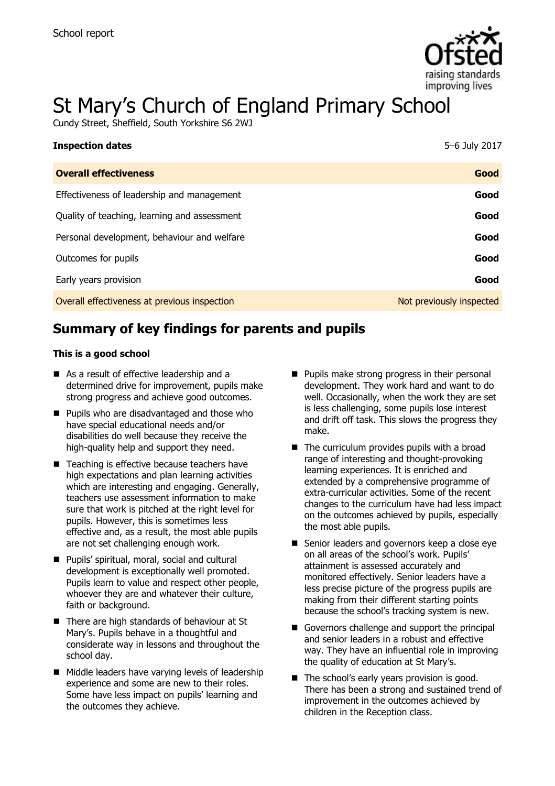

# St Mary's Church of England Primary School

Cundy Street, Sheffield, South Yorkshire S6 2WJ

| <b>Inspection dates</b>                      | 5-6 July 2017            |
|----------------------------------------------|--------------------------|
| <b>Overall effectiveness</b>                 | Good                     |
| Effectiveness of leadership and management   | Good                     |
| Quality of teaching, learning and assessment | Good                     |
| Personal development, behaviour and welfare  | Good                     |
| Outcomes for pupils                          | Good                     |
| Early years provision                        | Good                     |
| Overall effectiveness at previous inspection | Not previously inspected |

# **Summary of key findings for parents and pupils**

#### **This is a good school**

- As a result of effective leadership and a determined drive for improvement, pupils make strong progress and achieve good outcomes.
- **Pupils who are disadvantaged and those who** have special educational needs and/or disabilities do well because they receive the high-quality help and support they need.
- Teaching is effective because teachers have high expectations and plan learning activities which are interesting and engaging. Generally, teachers use assessment information to make sure that work is pitched at the right level for pupils. However, this is sometimes less effective and, as a result, the most able pupils are not set challenging enough work.
- Pupils' spiritual, moral, social and cultural development is exceptionally well promoted. Pupils learn to value and respect other people, whoever they are and whatever their culture, faith or background.
- There are high standards of behaviour at St Mary's. Pupils behave in a thoughtful and considerate way in lessons and throughout the school day.
- Middle leaders have varying levels of leadership experience and some are new to their roles. Some have less impact on pupils' learning and the outcomes they achieve.
- $\blacksquare$  Pupils make strong progress in their personal development. They work hard and want to do well. Occasionally, when the work they are set is less challenging, some pupils lose interest and drift off task. This slows the progress they make.
- $\blacksquare$  The curriculum provides pupils with a broad range of interesting and thought-provoking learning experiences. It is enriched and extended by a comprehensive programme of extra-curricular activities. Some of the recent changes to the curriculum have had less impact on the outcomes achieved by pupils, especially the most able pupils.
- Senior leaders and governors keep a close eye on all areas of the school's work. Pupils' attainment is assessed accurately and monitored effectively. Senior leaders have a less precise picture of the progress pupils are making from their different starting points because the school's tracking system is new.
- Governors challenge and support the principal and senior leaders in a robust and effective way. They have an influential role in improving the quality of education at St Mary's.
- The school's early years provision is good. There has been a strong and sustained trend of improvement in the outcomes achieved by children in the Reception class.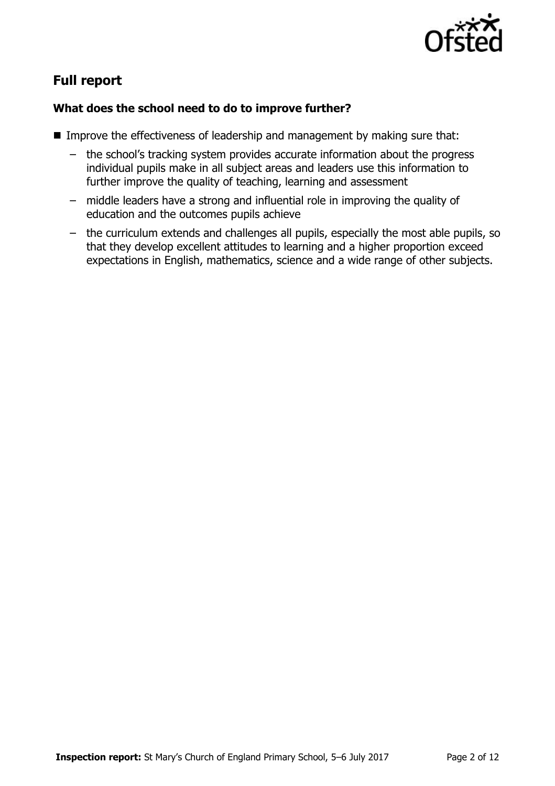

# **Full report**

### **What does the school need to do to improve further?**

- Improve the effectiveness of leadership and management by making sure that:
	- the school's tracking system provides accurate information about the progress individual pupils make in all subject areas and leaders use this information to further improve the quality of teaching, learning and assessment
	- middle leaders have a strong and influential role in improving the quality of education and the outcomes pupils achieve
	- the curriculum extends and challenges all pupils, especially the most able pupils, so that they develop excellent attitudes to learning and a higher proportion exceed expectations in English, mathematics, science and a wide range of other subjects.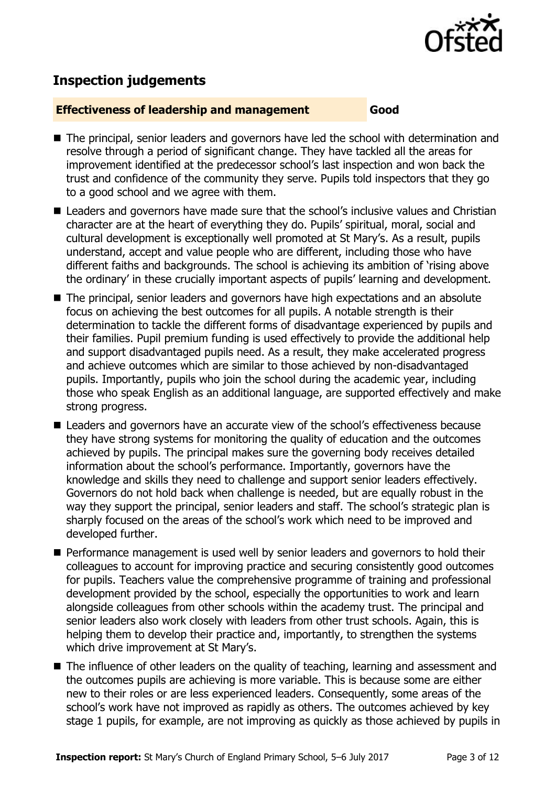

## **Inspection judgements**

#### **Effectiveness of leadership and management Good**

- The principal, senior leaders and governors have led the school with determination and resolve through a period of significant change. They have tackled all the areas for improvement identified at the predecessor school's last inspection and won back the trust and confidence of the community they serve. Pupils told inspectors that they go to a good school and we agree with them.
- Leaders and governors have made sure that the school's inclusive values and Christian character are at the heart of everything they do. Pupils' spiritual, moral, social and cultural development is exceptionally well promoted at St Mary's. As a result, pupils understand, accept and value people who are different, including those who have different faiths and backgrounds. The school is achieving its ambition of 'rising above the ordinary' in these crucially important aspects of pupils' learning and development.
- The principal, senior leaders and governors have high expectations and an absolute focus on achieving the best outcomes for all pupils. A notable strength is their determination to tackle the different forms of disadvantage experienced by pupils and their families. Pupil premium funding is used effectively to provide the additional help and support disadvantaged pupils need. As a result, they make accelerated progress and achieve outcomes which are similar to those achieved by non-disadvantaged pupils. Importantly, pupils who join the school during the academic year, including those who speak English as an additional language, are supported effectively and make strong progress.
- Leaders and governors have an accurate view of the school's effectiveness because they have strong systems for monitoring the quality of education and the outcomes achieved by pupils. The principal makes sure the governing body receives detailed information about the school's performance. Importantly, governors have the knowledge and skills they need to challenge and support senior leaders effectively. Governors do not hold back when challenge is needed, but are equally robust in the way they support the principal, senior leaders and staff. The school's strategic plan is sharply focused on the areas of the school's work which need to be improved and developed further.
- **Performance management is used well by senior leaders and governors to hold their** colleagues to account for improving practice and securing consistently good outcomes for pupils. Teachers value the comprehensive programme of training and professional development provided by the school, especially the opportunities to work and learn alongside colleagues from other schools within the academy trust. The principal and senior leaders also work closely with leaders from other trust schools. Again, this is helping them to develop their practice and, importantly, to strengthen the systems which drive improvement at St Mary's.
- The influence of other leaders on the quality of teaching, learning and assessment and the outcomes pupils are achieving is more variable. This is because some are either new to their roles or are less experienced leaders. Consequently, some areas of the school's work have not improved as rapidly as others. The outcomes achieved by key stage 1 pupils, for example, are not improving as quickly as those achieved by pupils in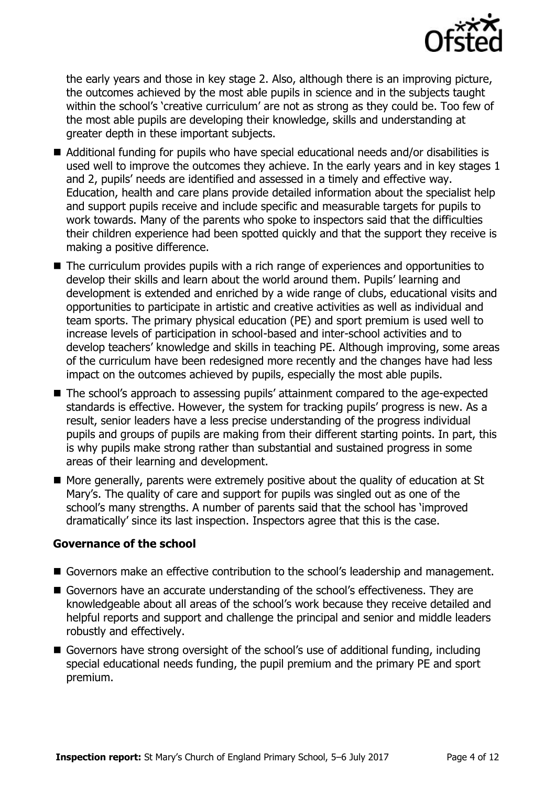

the early years and those in key stage 2. Also, although there is an improving picture, the outcomes achieved by the most able pupils in science and in the subjects taught within the school's 'creative curriculum' are not as strong as they could be. Too few of the most able pupils are developing their knowledge, skills and understanding at greater depth in these important subjects.

- Additional funding for pupils who have special educational needs and/or disabilities is used well to improve the outcomes they achieve. In the early years and in key stages 1 and 2, pupils' needs are identified and assessed in a timely and effective way. Education, health and care plans provide detailed information about the specialist help and support pupils receive and include specific and measurable targets for pupils to work towards. Many of the parents who spoke to inspectors said that the difficulties their children experience had been spotted quickly and that the support they receive is making a positive difference.
- The curriculum provides pupils with a rich range of experiences and opportunities to develop their skills and learn about the world around them. Pupils' learning and development is extended and enriched by a wide range of clubs, educational visits and opportunities to participate in artistic and creative activities as well as individual and team sports. The primary physical education (PE) and sport premium is used well to increase levels of participation in school-based and inter-school activities and to develop teachers' knowledge and skills in teaching PE. Although improving, some areas of the curriculum have been redesigned more recently and the changes have had less impact on the outcomes achieved by pupils, especially the most able pupils.
- The school's approach to assessing pupils' attainment compared to the age-expected standards is effective. However, the system for tracking pupils' progress is new. As a result, senior leaders have a less precise understanding of the progress individual pupils and groups of pupils are making from their different starting points. In part, this is why pupils make strong rather than substantial and sustained progress in some areas of their learning and development.
- More generally, parents were extremely positive about the quality of education at St Mary's. The quality of care and support for pupils was singled out as one of the school's many strengths. A number of parents said that the school has 'improved dramatically' since its last inspection. Inspectors agree that this is the case.

#### **Governance of the school**

- Governors make an effective contribution to the school's leadership and management.
- Governors have an accurate understanding of the school's effectiveness. They are knowledgeable about all areas of the school's work because they receive detailed and helpful reports and support and challenge the principal and senior and middle leaders robustly and effectively.
- Governors have strong oversight of the school's use of additional funding, including special educational needs funding, the pupil premium and the primary PE and sport premium.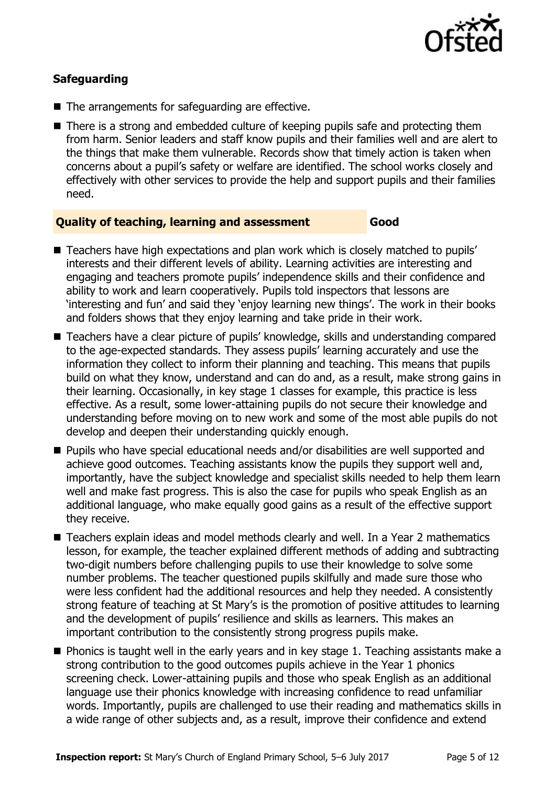

#### **Safeguarding**

- The arrangements for safeguarding are effective.
- There is a strong and embedded culture of keeping pupils safe and protecting them from harm. Senior leaders and staff know pupils and their families well and are alert to the things that make them vulnerable. Records show that timely action is taken when concerns about a pupil's safety or welfare are identified. The school works closely and effectively with other services to provide the help and support pupils and their families need.

#### **Quality of teaching, learning and assessment Good**

- Teachers have high expectations and plan work which is closely matched to pupils' interests and their different levels of ability. Learning activities are interesting and engaging and teachers promote pupils' independence skills and their confidence and ability to work and learn cooperatively. Pupils told inspectors that lessons are 'interesting and fun' and said they 'enjoy learning new things'. The work in their books and folders shows that they enjoy learning and take pride in their work.
- Teachers have a clear picture of pupils' knowledge, skills and understanding compared to the age-expected standards. They assess pupils' learning accurately and use the information they collect to inform their planning and teaching. This means that pupils build on what they know, understand and can do and, as a result, make strong gains in their learning. Occasionally, in key stage 1 classes for example, this practice is less effective. As a result, some lower-attaining pupils do not secure their knowledge and understanding before moving on to new work and some of the most able pupils do not develop and deepen their understanding quickly enough.
- Pupils who have special educational needs and/or disabilities are well supported and achieve good outcomes. Teaching assistants know the pupils they support well and, importantly, have the subject knowledge and specialist skills needed to help them learn well and make fast progress. This is also the case for pupils who speak English as an additional language, who make equally good gains as a result of the effective support they receive.
- Teachers explain ideas and model methods clearly and well. In a Year 2 mathematics lesson, for example, the teacher explained different methods of adding and subtracting two-digit numbers before challenging pupils to use their knowledge to solve some number problems. The teacher questioned pupils skilfully and made sure those who were less confident had the additional resources and help they needed. A consistently strong feature of teaching at St Mary's is the promotion of positive attitudes to learning and the development of pupils' resilience and skills as learners. This makes an important contribution to the consistently strong progress pupils make.
- $\blacksquare$  Phonics is taught well in the early years and in key stage 1. Teaching assistants make a strong contribution to the good outcomes pupils achieve in the Year 1 phonics screening check. Lower-attaining pupils and those who speak English as an additional language use their phonics knowledge with increasing confidence to read unfamiliar words. Importantly, pupils are challenged to use their reading and mathematics skills in a wide range of other subjects and, as a result, improve their confidence and extend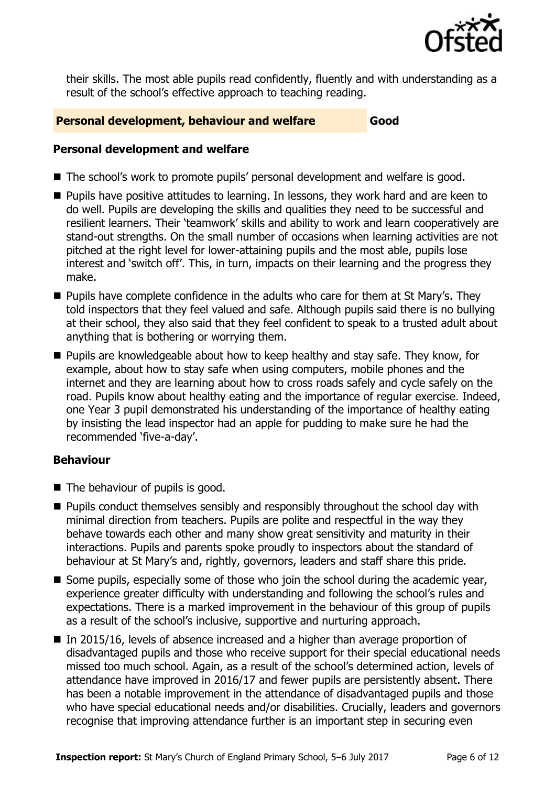

their skills. The most able pupils read confidently, fluently and with understanding as a result of the school's effective approach to teaching reading.

#### **Personal development, behaviour and welfare <b>South Article** Good

#### **Personal development and welfare**

- The school's work to promote pupils' personal development and welfare is good.
- Pupils have positive attitudes to learning. In lessons, they work hard and are keen to do well. Pupils are developing the skills and qualities they need to be successful and resilient learners. Their 'teamwork' skills and ability to work and learn cooperatively are stand-out strengths. On the small number of occasions when learning activities are not pitched at the right level for lower-attaining pupils and the most able, pupils lose interest and 'switch off'. This, in turn, impacts on their learning and the progress they make.
- Pupils have complete confidence in the adults who care for them at St Mary's. They told inspectors that they feel valued and safe. Although pupils said there is no bullying at their school, they also said that they feel confident to speak to a trusted adult about anything that is bothering or worrying them.
- **Pupils are knowledgeable about how to keep healthy and stay safe. They know, for** example, about how to stay safe when using computers, mobile phones and the internet and they are learning about how to cross roads safely and cycle safely on the road. Pupils know about healthy eating and the importance of regular exercise. Indeed, one Year 3 pupil demonstrated his understanding of the importance of healthy eating by insisting the lead inspector had an apple for pudding to make sure he had the recommended 'five-a-day'.

#### **Behaviour**

- The behaviour of pupils is good.
- **Pupils conduct themselves sensibly and responsibly throughout the school day with** minimal direction from teachers. Pupils are polite and respectful in the way they behave towards each other and many show great sensitivity and maturity in their interactions. Pupils and parents spoke proudly to inspectors about the standard of behaviour at St Mary's and, rightly, governors, leaders and staff share this pride.
- Some pupils, especially some of those who join the school during the academic year, experience greater difficulty with understanding and following the school's rules and expectations. There is a marked improvement in the behaviour of this group of pupils as a result of the school's inclusive, supportive and nurturing approach.
- In 2015/16, levels of absence increased and a higher than average proportion of disadvantaged pupils and those who receive support for their special educational needs missed too much school. Again, as a result of the school's determined action, levels of attendance have improved in 2016/17 and fewer pupils are persistently absent. There has been a notable improvement in the attendance of disadvantaged pupils and those who have special educational needs and/or disabilities. Crucially, leaders and governors recognise that improving attendance further is an important step in securing even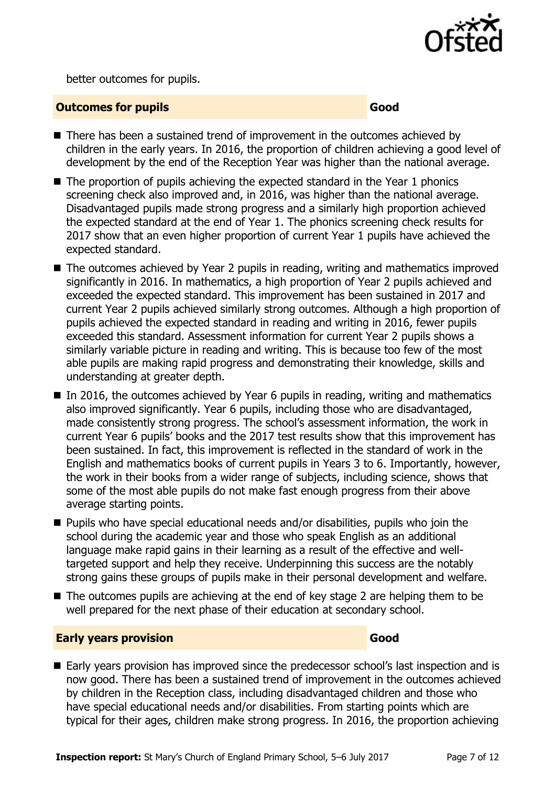

better outcomes for pupils.

#### **Outcomes for pupils Good Good**

- There has been a sustained trend of improvement in the outcomes achieved by children in the early years. In 2016, the proportion of children achieving a good level of development by the end of the Reception Year was higher than the national average.
- The proportion of pupils achieving the expected standard in the Year 1 phonics screening check also improved and, in 2016, was higher than the national average. Disadvantaged pupils made strong progress and a similarly high proportion achieved the expected standard at the end of Year 1. The phonics screening check results for 2017 show that an even higher proportion of current Year 1 pupils have achieved the expected standard.
- The outcomes achieved by Year 2 pupils in reading, writing and mathematics improved significantly in 2016. In mathematics, a high proportion of Year 2 pupils achieved and exceeded the expected standard. This improvement has been sustained in 2017 and current Year 2 pupils achieved similarly strong outcomes. Although a high proportion of pupils achieved the expected standard in reading and writing in 2016, fewer pupils exceeded this standard. Assessment information for current Year 2 pupils shows a similarly variable picture in reading and writing. This is because too few of the most able pupils are making rapid progress and demonstrating their knowledge, skills and understanding at greater depth.
- In 2016, the outcomes achieved by Year 6 pupils in reading, writing and mathematics also improved significantly. Year 6 pupils, including those who are disadvantaged, made consistently strong progress. The school's assessment information, the work in current Year 6 pupils' books and the 2017 test results show that this improvement has been sustained. In fact, this improvement is reflected in the standard of work in the English and mathematics books of current pupils in Years 3 to 6. Importantly, however, the work in their books from a wider range of subjects, including science, shows that some of the most able pupils do not make fast enough progress from their above average starting points.
- Pupils who have special educational needs and/or disabilities, pupils who join the school during the academic year and those who speak English as an additional language make rapid gains in their learning as a result of the effective and welltargeted support and help they receive. Underpinning this success are the notably strong gains these groups of pupils make in their personal development and welfare.
- $\blacksquare$  The outcomes pupils are achieving at the end of key stage 2 are helping them to be well prepared for the next phase of their education at secondary school.

#### **Early years provision Good Good**

■ Early years provision has improved since the predecessor school's last inspection and is now good. There has been a sustained trend of improvement in the outcomes achieved by children in the Reception class, including disadvantaged children and those who have special educational needs and/or disabilities. From starting points which are typical for their ages, children make strong progress. In 2016, the proportion achieving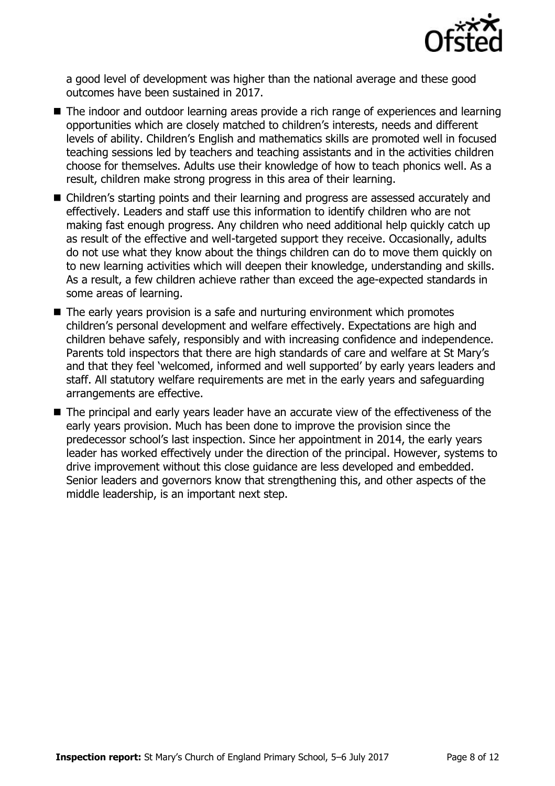

a good level of development was higher than the national average and these good outcomes have been sustained in 2017.

- The indoor and outdoor learning areas provide a rich range of experiences and learning opportunities which are closely matched to children's interests, needs and different levels of ability. Children's English and mathematics skills are promoted well in focused teaching sessions led by teachers and teaching assistants and in the activities children choose for themselves. Adults use their knowledge of how to teach phonics well. As a result, children make strong progress in this area of their learning.
- Children's starting points and their learning and progress are assessed accurately and effectively. Leaders and staff use this information to identify children who are not making fast enough progress. Any children who need additional help quickly catch up as result of the effective and well-targeted support they receive. Occasionally, adults do not use what they know about the things children can do to move them quickly on to new learning activities which will deepen their knowledge, understanding and skills. As a result, a few children achieve rather than exceed the age-expected standards in some areas of learning.
- The early years provision is a safe and nurturing environment which promotes children's personal development and welfare effectively. Expectations are high and children behave safely, responsibly and with increasing confidence and independence. Parents told inspectors that there are high standards of care and welfare at St Mary's and that they feel 'welcomed, informed and well supported' by early years leaders and staff. All statutory welfare requirements are met in the early years and safeguarding arrangements are effective.
- The principal and early years leader have an accurate view of the effectiveness of the early years provision. Much has been done to improve the provision since the predecessor school's last inspection. Since her appointment in 2014, the early years leader has worked effectively under the direction of the principal. However, systems to drive improvement without this close guidance are less developed and embedded. Senior leaders and governors know that strengthening this, and other aspects of the middle leadership, is an important next step.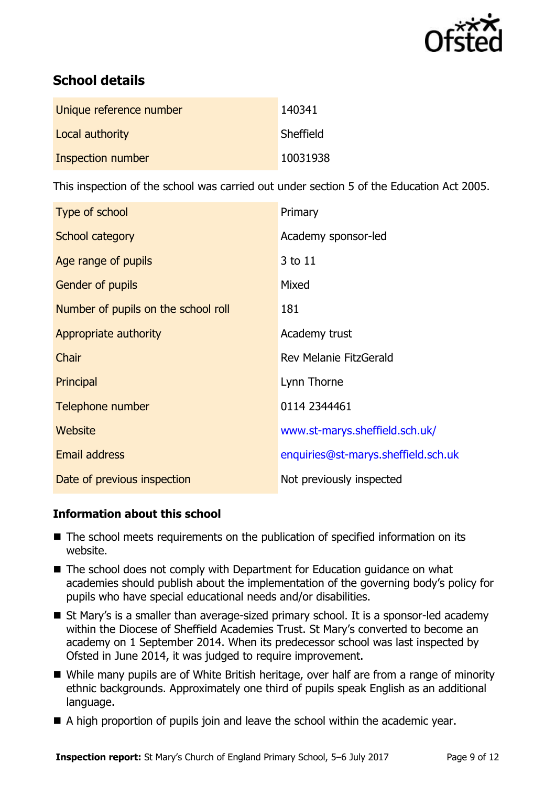

# **School details**

| Unique reference number | 140341    |
|-------------------------|-----------|
| Local authority         | Sheffield |
| Inspection number       | 10031938  |

This inspection of the school was carried out under section 5 of the Education Act 2005.

| Type of school                      | Primary                             |  |
|-------------------------------------|-------------------------------------|--|
| School category                     | Academy sponsor-led                 |  |
| Age range of pupils                 | 3 to 11                             |  |
| <b>Gender of pupils</b>             | Mixed                               |  |
| Number of pupils on the school roll | 181                                 |  |
| Appropriate authority               | Academy trust                       |  |
| Chair                               | Rev Melanie FitzGerald              |  |
| Principal                           | Lynn Thorne                         |  |
| Telephone number                    | 0114 2344461                        |  |
| Website                             | www.st-marys.sheffield.sch.uk/      |  |
| Email address                       | enquiries@st-marys.sheffield.sch.uk |  |
| Date of previous inspection         | Not previously inspected            |  |

#### **Information about this school**

- The school meets requirements on the publication of specified information on its website.
- The school does not comply with Department for Education guidance on what academies should publish about the implementation of the governing body's policy for pupils who have special educational needs and/or disabilities.
- St Mary's is a smaller than average-sized primary school. It is a sponsor-led academy within the Diocese of Sheffield Academies Trust. St Mary's converted to become an academy on 1 September 2014. When its predecessor school was last inspected by Ofsted in June 2014, it was judged to require improvement.
- While many pupils are of White British heritage, over half are from a range of minority ethnic backgrounds. Approximately one third of pupils speak English as an additional language.
- A high proportion of pupils join and leave the school within the academic year.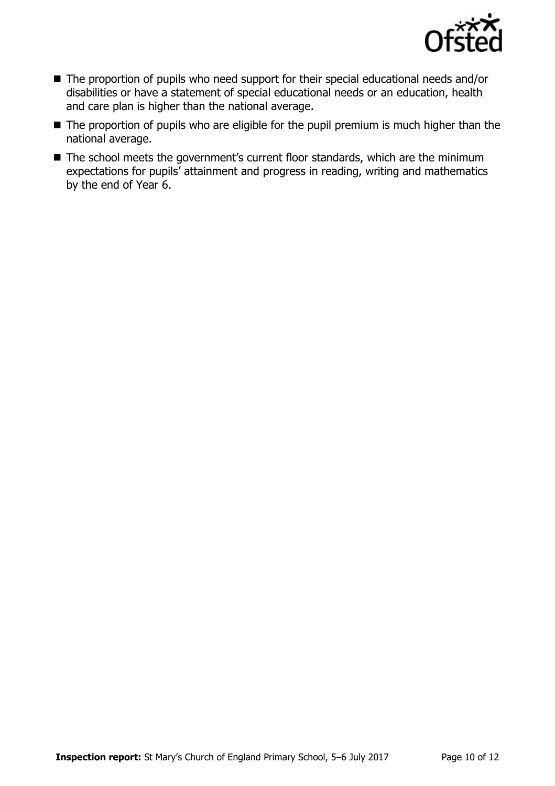

- The proportion of pupils who need support for their special educational needs and/or disabilities or have a statement of special educational needs or an education, health and care plan is higher than the national average.
- The proportion of pupils who are eligible for the pupil premium is much higher than the national average.
- The school meets the government's current floor standards, which are the minimum expectations for pupils' attainment and progress in reading, writing and mathematics by the end of Year 6.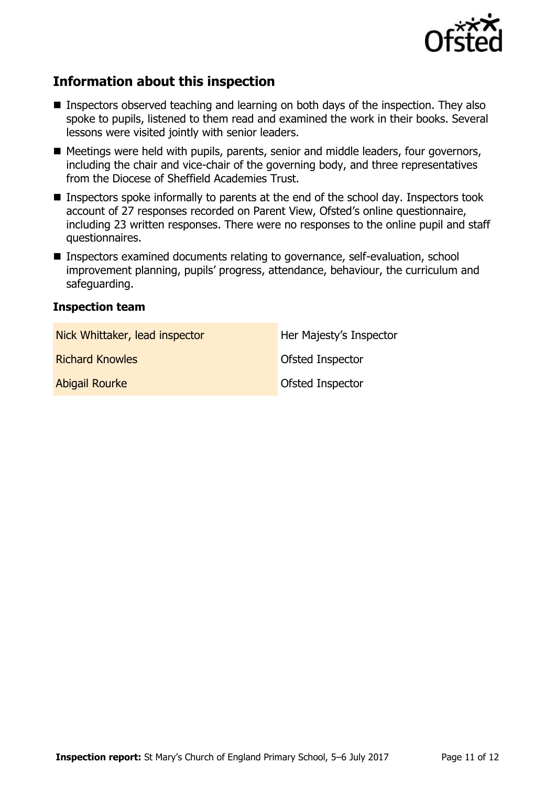

# **Information about this inspection**

- Inspectors observed teaching and learning on both days of the inspection. They also spoke to pupils, listened to them read and examined the work in their books. Several lessons were visited jointly with senior leaders.
- Meetings were held with pupils, parents, senior and middle leaders, four governors, including the chair and vice-chair of the governing body, and three representatives from the Diocese of Sheffield Academies Trust.
- **Inspectors spoke informally to parents at the end of the school day. Inspectors took** account of 27 responses recorded on Parent View, Ofsted's online questionnaire, including 23 written responses. There were no responses to the online pupil and staff questionnaires.
- Inspectors examined documents relating to governance, self-evaluation, school improvement planning, pupils' progress, attendance, behaviour, the curriculum and safeguarding.

#### **Inspection team**

| Nick Whittaker, lead inspector | Her Majesty's Inspector |
|--------------------------------|-------------------------|
| <b>Richard Knowles</b>         | <b>Ofsted Inspector</b> |
| <b>Abigail Rourke</b>          | <b>Ofsted Inspector</b> |